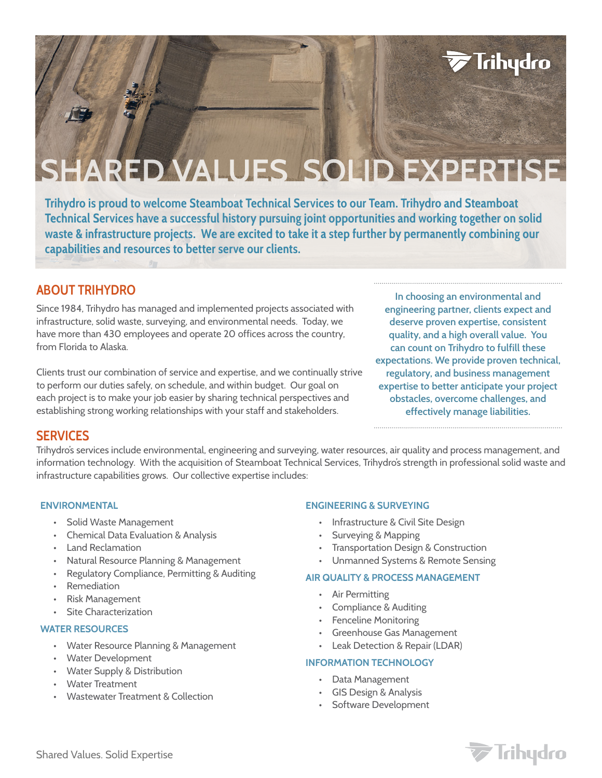# **ARED VALUES SOLID EXPERTISE**

**Trihydro is proud to welcome Steamboat Technical Services to our Team. Trihydro and Steamboat Technical Services have a successful history pursuing joint opportunities and working together on solid waste & infrastructure projects. We are excited to take it a step further by permanently combining our capabilities and resources to better serve our clients.** 

## **ABOUT TRIHYDRO**

Since 1984, Trihydro has managed and implemented projects associated with infrastructure, solid waste, surveying, and environmental needs. Today, we have more than 430 employees and operate 20 offices across the country, from Florida to Alaska.

Clients trust our combination of service and expertise, and we continually strive to perform our duties safely, on schedule, and within budget. Our goal on each project is to make your job easier by sharing technical perspectives and establishing strong working relationships with your staff and stakeholders.

**In choosing an environmental and engineering partner, clients expect and deserve proven expertise, consistent quality, and a high overall value. You can count on Trihydro to fulfill these expectations. We provide proven technical, regulatory, and business management expertise to better anticipate your project obstacles, overcome challenges, and effectively manage liabilities.**

**Trihydro** 

### **SERVICES**

Trihydro's services include environmental, engineering and surveying, water resources, air quality and process management, and information technology. With the acquisition of Steamboat Technical Services, Trihydro's strength in professional solid waste and infrastructure capabilities grows. Our collective expertise includes:

#### **ENVIRONMENTAL**

- Solid Waste Management
- Chemical Data Evaluation & Analysis
- Land Reclamation
- Natural Resource Planning & Management
- Regulatory Compliance, Permitting & Auditing
- Remediation
- Risk Management
- **Site Characterization**

#### **WATER RESOURCES**

- Water Resource Planning & Management
- Water Development
- Water Supply & Distribution
- Water Treatment
- Wastewater Treatment & Collection

#### **ENGINEERING & SURVEYING**

- Infrastructure & Civil Site Design
- Surveying & Mapping
- Transportation Design & Construction
- Unmanned Systems & Remote Sensing

#### **AIR QUALITY & PROCESS MANAGEMENT**

- Air Permitting
- Compliance & Auditing
- Fenceline Monitoring
- Greenhouse Gas Management
- Leak Detection & Repair (LDAR)

#### **INFORMATION TECHNOLOGY**

- Data Management
- GIS Design & Analysis
	- Software Development